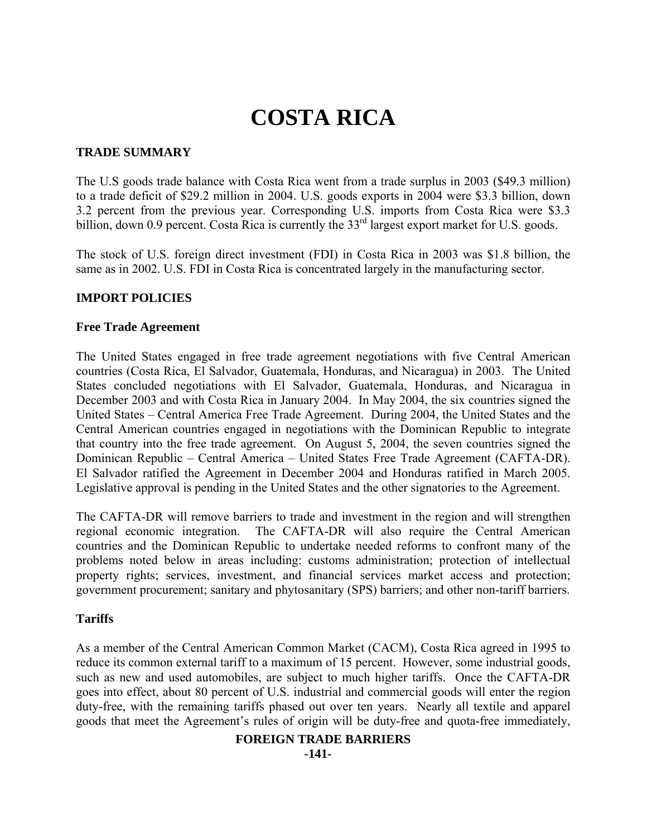# **COSTA RICA**

# **TRADE SUMMARY**

The U.S goods trade balance with Costa Rica went from a trade surplus in 2003 (\$49.3 million) to a trade deficit of \$29.2 million in 2004. U.S. goods exports in 2004 were \$3.3 billion, down 3.2 percent from the previous year. Corresponding U.S. imports from Costa Rica were \$3.3 billion, down 0.9 percent. Costa Rica is currently the 33<sup>rd</sup> largest export market for U.S. goods.

The stock of U.S. foreign direct investment (FDI) in Costa Rica in 2003 was \$1.8 billion, the same as in 2002. U.S. FDI in Costa Rica is concentrated largely in the manufacturing sector.

# **IMPORT POLICIES**

## **Free Trade Agreement**

The United States engaged in free trade agreement negotiations with five Central American countries (Costa Rica, El Salvador, Guatemala, Honduras, and Nicaragua) in 2003. The United States concluded negotiations with El Salvador, Guatemala, Honduras, and Nicaragua in December 2003 and with Costa Rica in January 2004. In May 2004, the six countries signed the United States – Central America Free Trade Agreement. During 2004, the United States and the Central American countries engaged in negotiations with the Dominican Republic to integrate that country into the free trade agreement. On August 5, 2004, the seven countries signed the Dominican Republic – Central America – United States Free Trade Agreement (CAFTA-DR). El Salvador ratified the Agreement in December 2004 and Honduras ratified in March 2005. Legislative approval is pending in the United States and the other signatories to the Agreement.

The CAFTA-DR will remove barriers to trade and investment in the region and will strengthen regional economic integration. The CAFTA-DR will also require the Central American countries and the Dominican Republic to undertake needed reforms to confront many of the problems noted below in areas including: customs administration; protection of intellectual property rights; services, investment, and financial services market access and protection; government procurement; sanitary and phytosanitary (SPS) barriers; and other non-tariff barriers.

## **Tariffs**

As a member of the Central American Common Market (CACM), Costa Rica agreed in 1995 to reduce its common external tariff to a maximum of 15 percent. However, some industrial goods, such as new and used automobiles, are subject to much higher tariffs. Once the CAFTA-DR goes into effect, about 80 percent of U.S. industrial and commercial goods will enter the region duty-free, with the remaining tariffs phased out over ten years. Nearly all textile and apparel goods that meet the Agreement's rules of origin will be duty-free and quota-free immediately,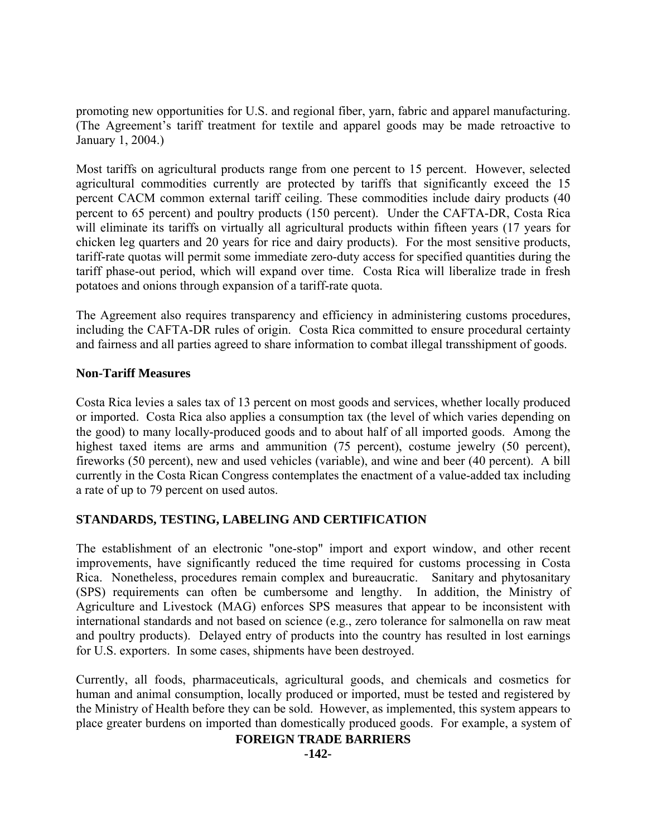promoting new opportunities for U.S. and regional fiber, yarn, fabric and apparel manufacturing. (The Agreement's tariff treatment for textile and apparel goods may be made retroactive to January 1, 2004.)

Most tariffs on agricultural products range from one percent to 15 percent. However, selected agricultural commodities currently are protected by tariffs that significantly exceed the 15 percent CACM common external tariff ceiling. These commodities include dairy products (40 percent to 65 percent) and poultry products (150 percent). Under the CAFTA-DR, Costa Rica will eliminate its tariffs on virtually all agricultural products within fifteen years (17 years for chicken leg quarters and 20 years for rice and dairy products). For the most sensitive products, tariff-rate quotas will permit some immediate zero-duty access for specified quantities during the tariff phase-out period, which will expand over time. Costa Rica will liberalize trade in fresh potatoes and onions through expansion of a tariff-rate quota.

The Agreement also requires transparency and efficiency in administering customs procedures, including the CAFTA-DR rules of origin. Costa Rica committed to ensure procedural certainty and fairness and all parties agreed to share information to combat illegal transshipment of goods.

## **Non-Tariff Measures**

Costa Rica levies a sales tax of 13 percent on most goods and services, whether locally produced or imported. Costa Rica also applies a consumption tax (the level of which varies depending on the good) to many locally-produced goods and to about half of all imported goods. Among the highest taxed items are arms and ammunition (75 percent), costume jewelry (50 percent), fireworks (50 percent), new and used vehicles (variable), and wine and beer (40 percent). A bill currently in the Costa Rican Congress contemplates the enactment of a value-added tax including a rate of up to 79 percent on used autos.

# **STANDARDS, TESTING, LABELING AND CERTIFICATION**

The establishment of an electronic "one-stop" import and export window, and other recent improvements, have significantly reduced the time required for customs processing in Costa Rica. Nonetheless, procedures remain complex and bureaucratic. Sanitary and phytosanitary (SPS) requirements can often be cumbersome and lengthy. In addition, the Ministry of Agriculture and Livestock (MAG) enforces SPS measures that appear to be inconsistent with international standards and not based on science (e.g., zero tolerance for salmonella on raw meat and poultry products). Delayed entry of products into the country has resulted in lost earnings for U.S. exporters. In some cases, shipments have been destroyed.

Currently, all foods, pharmaceuticals, agricultural goods, and chemicals and cosmetics for human and animal consumption, locally produced or imported, must be tested and registered by the Ministry of Health before they can be sold. However, as implemented, this system appears to place greater burdens on imported than domestically produced goods. For example, a system of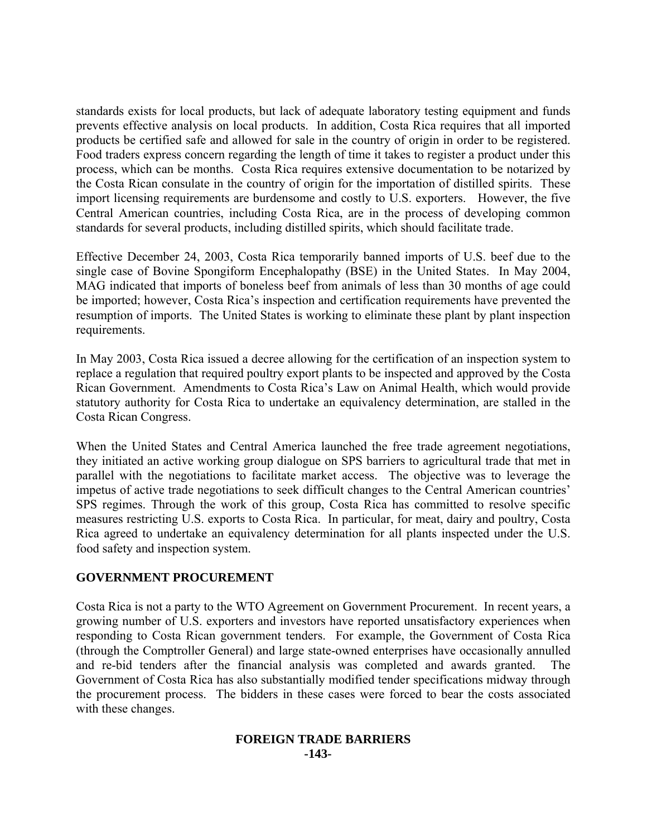standards exists for local products, but lack of adequate laboratory testing equipment and funds prevents effective analysis on local products. In addition, Costa Rica requires that all imported products be certified safe and allowed for sale in the country of origin in order to be registered. Food traders express concern regarding the length of time it takes to register a product under this process, which can be months. Costa Rica requires extensive documentation to be notarized by the Costa Rican consulate in the country of origin for the importation of distilled spirits. These import licensing requirements are burdensome and costly to U.S. exporters. However, the five Central American countries, including Costa Rica, are in the process of developing common standards for several products, including distilled spirits, which should facilitate trade.

Effective December 24, 2003, Costa Rica temporarily banned imports of U.S. beef due to the single case of Bovine Spongiform Encephalopathy (BSE) in the United States. In May 2004, MAG indicated that imports of boneless beef from animals of less than 30 months of age could be imported; however, Costa Rica's inspection and certification requirements have prevented the resumption of imports. The United States is working to eliminate these plant by plant inspection requirements.

In May 2003, Costa Rica issued a decree allowing for the certification of an inspection system to replace a regulation that required poultry export plants to be inspected and approved by the Costa Rican Government. Amendments to Costa Rica's Law on Animal Health, which would provide statutory authority for Costa Rica to undertake an equivalency determination, are stalled in the Costa Rican Congress.

When the United States and Central America launched the free trade agreement negotiations, they initiated an active working group dialogue on SPS barriers to agricultural trade that met in parallel with the negotiations to facilitate market access. The objective was to leverage the impetus of active trade negotiations to seek difficult changes to the Central American countries' SPS regimes. Through the work of this group, Costa Rica has committed to resolve specific measures restricting U.S. exports to Costa Rica. In particular, for meat, dairy and poultry, Costa Rica agreed to undertake an equivalency determination for all plants inspected under the U.S. food safety and inspection system.

# **GOVERNMENT PROCUREMENT**

Costa Rica is not a party to the WTO Agreement on Government Procurement. In recent years, a growing number of U.S. exporters and investors have reported unsatisfactory experiences when responding to Costa Rican government tenders. For example, the Government of Costa Rica (through the Comptroller General) and large state-owned enterprises have occasionally annulled and re-bid tenders after the financial analysis was completed and awards granted. The Government of Costa Rica has also substantially modified tender specifications midway through the procurement process. The bidders in these cases were forced to bear the costs associated with these changes.

#### **FOREIGN TRADE BARRIERS -143-**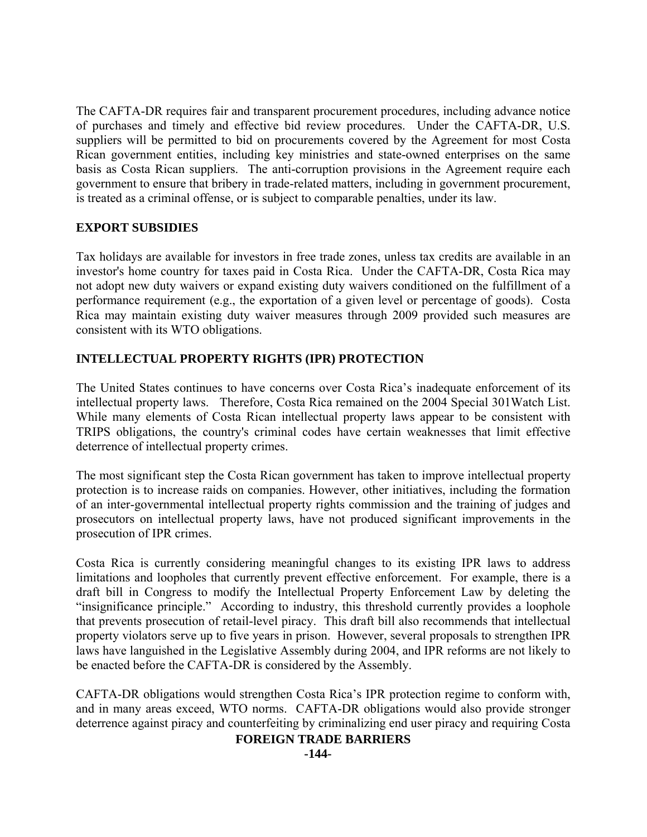The CAFTA-DR requires fair and transparent procurement procedures, including advance notice of purchases and timely and effective bid review procedures. Under the CAFTA-DR, U.S. suppliers will be permitted to bid on procurements covered by the Agreement for most Costa Rican government entities, including key ministries and state-owned enterprises on the same basis as Costa Rican suppliers. The anti-corruption provisions in the Agreement require each government to ensure that bribery in trade-related matters, including in government procurement, is treated as a criminal offense, or is subject to comparable penalties, under its law.

# **EXPORT SUBSIDIES**

Tax holidays are available for investors in free trade zones, unless tax credits are available in an investor's home country for taxes paid in Costa Rica. Under the CAFTA-DR, Costa Rica may not adopt new duty waivers or expand existing duty waivers conditioned on the fulfillment of a performance requirement (e.g., the exportation of a given level or percentage of goods). Costa Rica may maintain existing duty waiver measures through 2009 provided such measures are consistent with its WTO obligations.

# **INTELLECTUAL PROPERTY RIGHTS (IPR) PROTECTION**

The United States continues to have concerns over Costa Rica's inadequate enforcement of its intellectual property laws. Therefore, Costa Rica remained on the 2004 Special 301Watch List. While many elements of Costa Rican intellectual property laws appear to be consistent with TRIPS obligations, the country's criminal codes have certain weaknesses that limit effective deterrence of intellectual property crimes.

The most significant step the Costa Rican government has taken to improve intellectual property protection is to increase raids on companies. However, other initiatives, including the formation of an inter-governmental intellectual property rights commission and the training of judges and prosecutors on intellectual property laws, have not produced significant improvements in the prosecution of IPR crimes.

Costa Rica is currently considering meaningful changes to its existing IPR laws to address limitations and loopholes that currently prevent effective enforcement. For example, there is a draft bill in Congress to modify the Intellectual Property Enforcement Law by deleting the "insignificance principle." According to industry, this threshold currently provides a loophole that prevents prosecution of retail-level piracy. This draft bill also recommends that intellectual property violators serve up to five years in prison. However, several proposals to strengthen IPR laws have languished in the Legislative Assembly during 2004, and IPR reforms are not likely to be enacted before the CAFTA-DR is considered by the Assembly.

CAFTA-DR obligations would strengthen Costa Rica's IPR protection regime to conform with, and in many areas exceed, WTO norms. CAFTA-DR obligations would also provide stronger deterrence against piracy and counterfeiting by criminalizing end user piracy and requiring Costa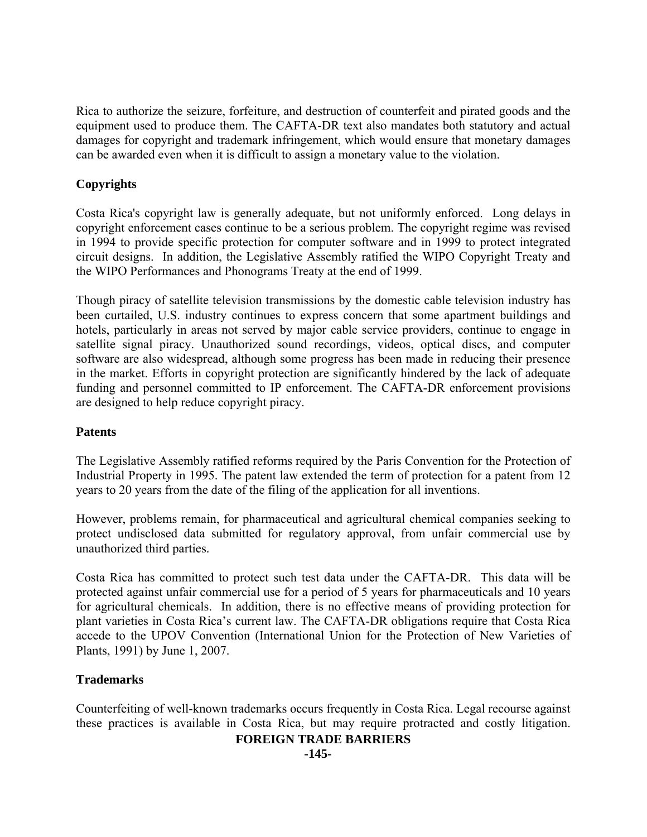Rica to authorize the seizure, forfeiture, and destruction of counterfeit and pirated goods and the equipment used to produce them. The CAFTA-DR text also mandates both statutory and actual damages for copyright and trademark infringement, which would ensure that monetary damages can be awarded even when it is difficult to assign a monetary value to the violation.

# **Copyrights**

Costa Rica's copyright law is generally adequate, but not uniformly enforced. Long delays in copyright enforcement cases continue to be a serious problem. The copyright regime was revised in 1994 to provide specific protection for computer software and in 1999 to protect integrated circuit designs. In addition, the Legislative Assembly ratified the WIPO Copyright Treaty and the WIPO Performances and Phonograms Treaty at the end of 1999.

Though piracy of satellite television transmissions by the domestic cable television industry has been curtailed, U.S. industry continues to express concern that some apartment buildings and hotels, particularly in areas not served by major cable service providers, continue to engage in satellite signal piracy. Unauthorized sound recordings, videos, optical discs, and computer software are also widespread, although some progress has been made in reducing their presence in the market. Efforts in copyright protection are significantly hindered by the lack of adequate funding and personnel committed to IP enforcement. The CAFTA-DR enforcement provisions are designed to help reduce copyright piracy.

## **Patents**

The Legislative Assembly ratified reforms required by the Paris Convention for the Protection of Industrial Property in 1995. The patent law extended the term of protection for a patent from 12 years to 20 years from the date of the filing of the application for all inventions.

However, problems remain, for pharmaceutical and agricultural chemical companies seeking to protect undisclosed data submitted for regulatory approval, from unfair commercial use by unauthorized third parties.

Costa Rica has committed to protect such test data under the CAFTA-DR. This data will be protected against unfair commercial use for a period of 5 years for pharmaceuticals and 10 years for agricultural chemicals. In addition, there is no effective means of providing protection for plant varieties in Costa Rica's current law. The CAFTA-DR obligations require that Costa Rica accede to the UPOV Convention (International Union for the Protection of New Varieties of Plants, 1991) by June 1, 2007.

# **Trademarks**

Counterfeiting of well-known trademarks occurs frequently in Costa Rica. Legal recourse against these practices is available in Costa Rica, but may require protracted and costly litigation.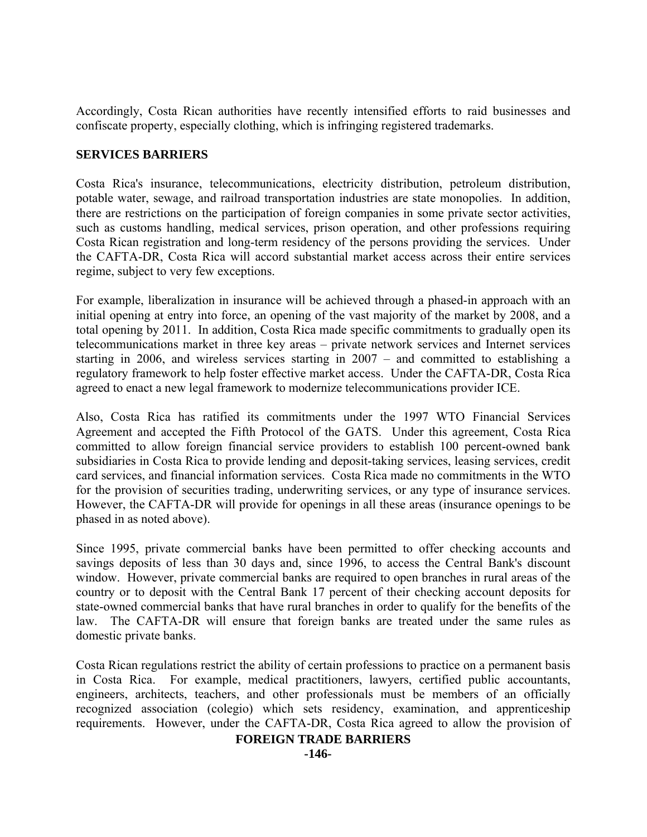Accordingly, Costa Rican authorities have recently intensified efforts to raid businesses and confiscate property, especially clothing, which is infringing registered trademarks.

# **SERVICES BARRIERS**

Costa Rica's insurance, telecommunications, electricity distribution, petroleum distribution, potable water, sewage, and railroad transportation industries are state monopolies. In addition, there are restrictions on the participation of foreign companies in some private sector activities, such as customs handling, medical services, prison operation, and other professions requiring Costa Rican registration and long-term residency of the persons providing the services. Under the CAFTA-DR, Costa Rica will accord substantial market access across their entire services regime, subject to very few exceptions.

For example, liberalization in insurance will be achieved through a phased-in approach with an initial opening at entry into force, an opening of the vast majority of the market by 2008, and a total opening by 2011. In addition, Costa Rica made specific commitments to gradually open its telecommunications market in three key areas – private network services and Internet services starting in 2006, and wireless services starting in 2007 – and committed to establishing a regulatory framework to help foster effective market access. Under the CAFTA-DR, Costa Rica agreed to enact a new legal framework to modernize telecommunications provider ICE.

Also, Costa Rica has ratified its commitments under the 1997 WTO Financial Services Agreement and accepted the Fifth Protocol of the GATS. Under this agreement, Costa Rica committed to allow foreign financial service providers to establish 100 percent-owned bank subsidiaries in Costa Rica to provide lending and deposit-taking services, leasing services, credit card services, and financial information services. Costa Rica made no commitments in the WTO for the provision of securities trading, underwriting services, or any type of insurance services. However, the CAFTA-DR will provide for openings in all these areas (insurance openings to be phased in as noted above).

Since 1995, private commercial banks have been permitted to offer checking accounts and savings deposits of less than 30 days and, since 1996, to access the Central Bank's discount window. However, private commercial banks are required to open branches in rural areas of the country or to deposit with the Central Bank 17 percent of their checking account deposits for state-owned commercial banks that have rural branches in order to qualify for the benefits of the law. The CAFTA-DR will ensure that foreign banks are treated under the same rules as domestic private banks.

Costa Rican regulations restrict the ability of certain professions to practice on a permanent basis in Costa Rica. For example, medical practitioners, lawyers, certified public accountants, engineers, architects, teachers, and other professionals must be members of an officially recognized association (colegio) which sets residency, examination, and apprenticeship requirements. However, under the CAFTA-DR, Costa Rica agreed to allow the provision of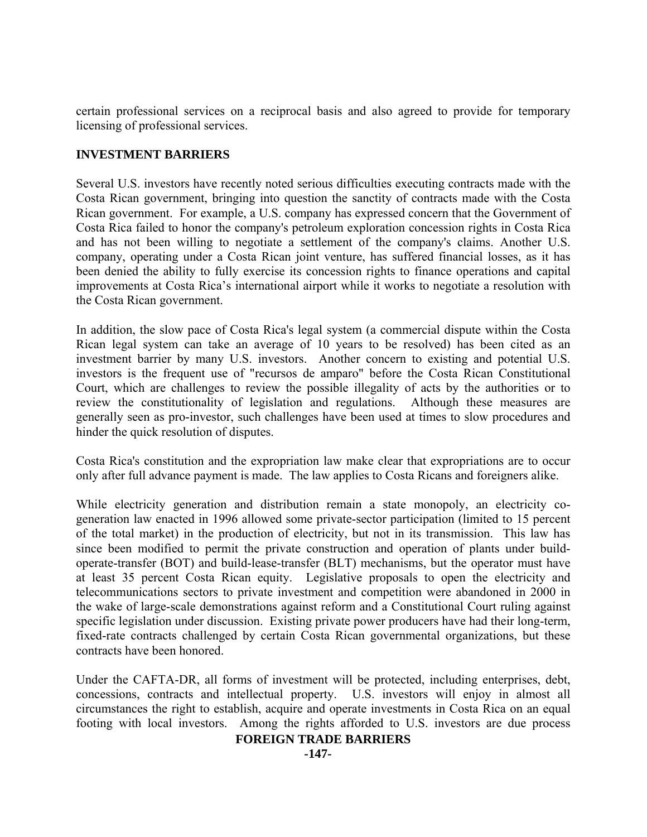certain professional services on a reciprocal basis and also agreed to provide for temporary licensing of professional services.

# **INVESTMENT BARRIERS**

Several U.S. investors have recently noted serious difficulties executing contracts made with the Costa Rican government, bringing into question the sanctity of contracts made with the Costa Rican government. For example, a U.S. company has expressed concern that the Government of Costa Rica failed to honor the company's petroleum exploration concession rights in Costa Rica and has not been willing to negotiate a settlement of the company's claims. Another U.S. company, operating under a Costa Rican joint venture, has suffered financial losses, as it has been denied the ability to fully exercise its concession rights to finance operations and capital improvements at Costa Rica's international airport while it works to negotiate a resolution with the Costa Rican government.

In addition, the slow pace of Costa Rica's legal system (a commercial dispute within the Costa Rican legal system can take an average of 10 years to be resolved) has been cited as an investment barrier by many U.S. investors. Another concern to existing and potential U.S. investors is the frequent use of "recursos de amparo" before the Costa Rican Constitutional Court, which are challenges to review the possible illegality of acts by the authorities or to review the constitutionality of legislation and regulations. Although these measures are generally seen as pro-investor, such challenges have been used at times to slow procedures and hinder the quick resolution of disputes.

Costa Rica's constitution and the expropriation law make clear that expropriations are to occur only after full advance payment is made. The law applies to Costa Ricans and foreigners alike.

While electricity generation and distribution remain a state monopoly, an electricity cogeneration law enacted in 1996 allowed some private-sector participation (limited to 15 percent of the total market) in the production of electricity, but not in its transmission. This law has since been modified to permit the private construction and operation of plants under buildoperate-transfer (BOT) and build-lease-transfer (BLT) mechanisms, but the operator must have at least 35 percent Costa Rican equity. Legislative proposals to open the electricity and telecommunications sectors to private investment and competition were abandoned in 2000 in the wake of large-scale demonstrations against reform and a Constitutional Court ruling against specific legislation under discussion. Existing private power producers have had their long-term, fixed-rate contracts challenged by certain Costa Rican governmental organizations, but these contracts have been honored.

Under the CAFTA-DR, all forms of investment will be protected, including enterprises, debt, concessions, contracts and intellectual property. U.S. investors will enjoy in almost all circumstances the right to establish, acquire and operate investments in Costa Rica on an equal footing with local investors. Among the rights afforded to U.S. investors are due process